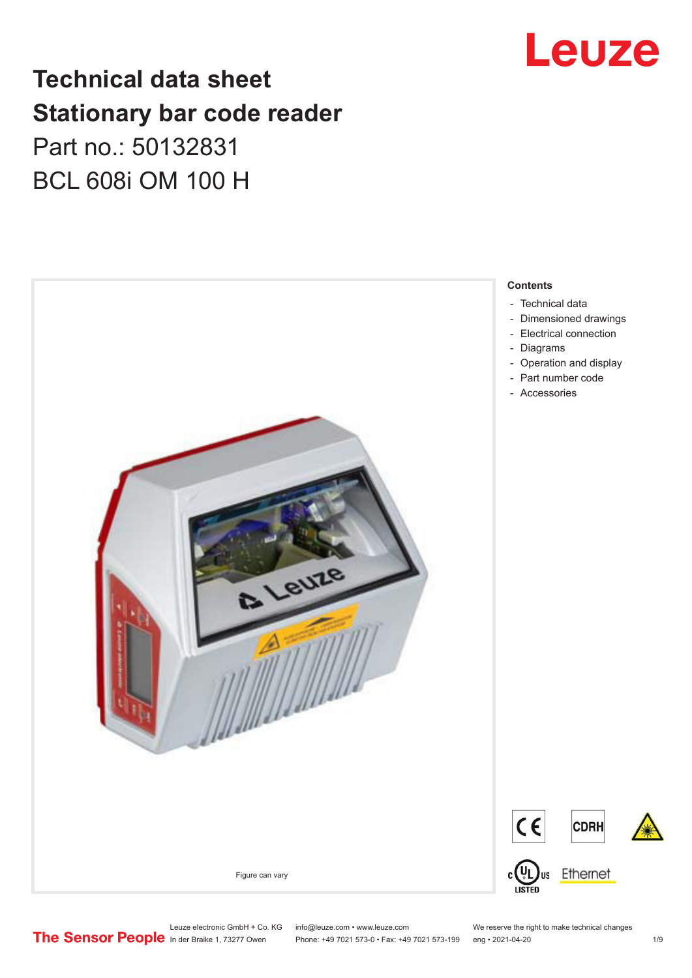

## **Technical data sheet Stationary bar code reader** Part no.: 50132831 BCL 608i OM 100 H



Leuze electronic GmbH + Co. KG info@leuze.com • www.leuze.com We reserve the right to make technical changes<br>
The Sensor People in der Braike 1, 73277 Owen Phone: +49 7021 573-0 • Fax: +49 7021 573-199 eng • 2021-04-20

Phone: +49 7021 573-0 • Fax: +49 7021 573-199 eng • 2021-04-20 1 /9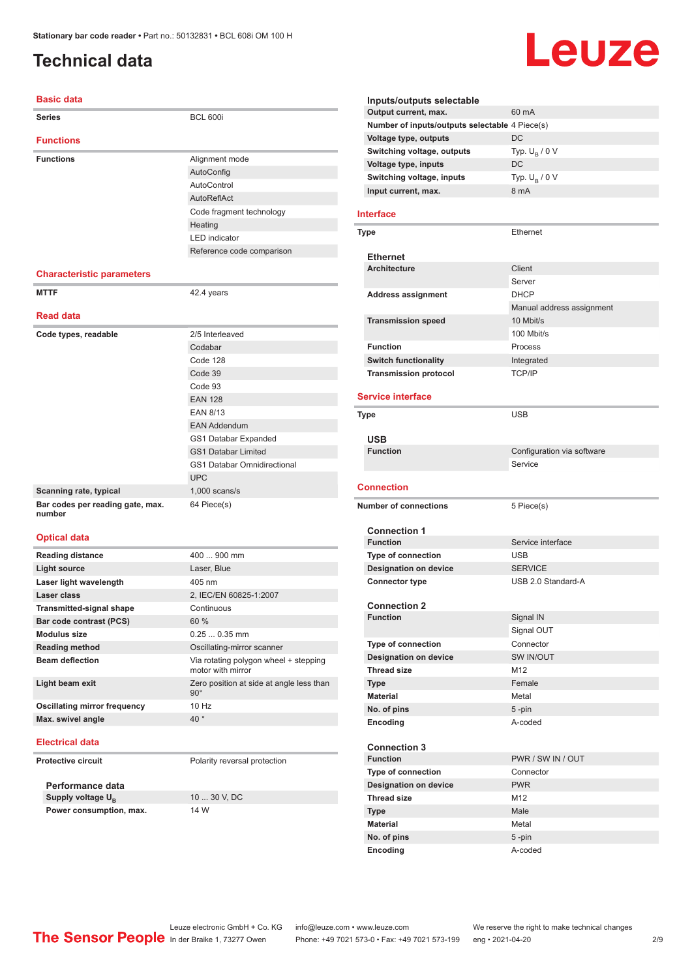## <span id="page-1-0"></span>**Technical data**

#### **Basic data**

| <b>Series</b>                    | <b>BCL 600i</b>                    |
|----------------------------------|------------------------------------|
| <b>Functions</b>                 |                                    |
| <b>Functions</b>                 | Alignment mode                     |
|                                  | AutoConfig                         |
|                                  | AutoControl                        |
|                                  | AutoReflAct                        |
|                                  | Code fragment technology           |
|                                  | Heating                            |
|                                  | <b>LED</b> indicator               |
|                                  | Reference code comparison          |
|                                  |                                    |
| <b>Characteristic parameters</b> |                                    |
| <b>MTTF</b>                      | 42.4 years                         |
| <b>Read data</b>                 |                                    |
| Code types, readable             | 2/5 Interleaved                    |
|                                  | Codabar                            |
|                                  | Code 128                           |
|                                  | Code 39                            |
|                                  | Code 93                            |
|                                  | <b>EAN 128</b>                     |
|                                  | <b>EAN 8/13</b>                    |
|                                  | <b>EAN Addendum</b>                |
|                                  | GS1 Databar Expanded               |
|                                  | <b>GS1 Databar Limited</b>         |
|                                  | <b>GS1 Databar Omnidirectional</b> |
|                                  | <b>UPC</b>                         |
| Scanning rate, typical           | $1,000$ scans/s                    |
| Bar codes per reading gate, max. | 64 Piece(s)                        |
| number                           |                                    |
| <b>Optical data</b>              |                                    |
| <b>Reading distance</b>          | 400  900 mm                        |
| <b>Light source</b>              | Laser, Blue                        |
| Laser light wavelength           | 405 nm                             |
| Laser class                      | 2, IEC/EN 60825-1:2007             |
| <b>Transmitted-signal shape</b>  | Continuous                         |
| Bar code contrast (PCS)          | 60 %                               |
| <b>Modulus size</b>              | $0.250.35$ mm                      |
| <b>Reading method</b>            | Oscillating-mirror scanner         |

**Beam deflection** Via rotating polygon wheel + stepping motor with mirror **Light beam exit** Zero position at side at angle less than 90° **Oscillating mirror frequency** 10 Hz **Max. swivel angle** 40

#### **Electrical data**

**Protective circuit** Polarity reversal protection

**Performance data Supply voltage U<sub>B</sub> Power consumption, max.** 14 W

10 ... 30 V, DC

#### **Inputs/outputs selectable Output current, max.** 60 mA **Number of inputs/outputs selectable** 4 Piece(s) **Voltage type, outputs** DC **Switching voltage, outputs** Typ.<br>Voltage type, inputs DC Typ.  $U_B / 0 V$ **Voltage type, inputs Switching voltage, inputs** Typ. Unit Ultimated States and States and States and States and States and States and States and States and States and States and States and States and States and States and States and States an Typ.  $U_B / 0 V$ **Input current, max.**

#### **Interface**

| Type                         | Ethernet                  |
|------------------------------|---------------------------|
| <b>Ethernet</b>              |                           |
| <b>Architecture</b>          | Client                    |
|                              | Server                    |
| <b>Address assignment</b>    | <b>DHCP</b>               |
|                              | Manual address assignment |
| <b>Transmission speed</b>    | 10 Mbit/s                 |
|                              | 100 Mbit/s                |
| <b>Function</b>              | Process                   |
| <b>Switch functionality</b>  | Integrated                |
| <b>Transmission protocol</b> | <b>TCP/IP</b>             |

#### **Service interface**

| <b>Type</b>                  | <b>USB</b>                 |
|------------------------------|----------------------------|
| <b>USB</b>                   |                            |
| <b>Function</b>              | Configuration via software |
|                              | Service                    |
|                              |                            |
| <b>Connection</b>            |                            |
| <b>Number of connections</b> | 5 Piece(s)                 |
| <b>Connection 1</b>          |                            |
| <b>Function</b>              | Service interface          |
| <b>Type of connection</b>    | <b>USB</b>                 |
| <b>Designation on device</b> | <b>SERVICE</b>             |
| <b>Connector type</b>        | USB 2.0 Standard-A         |
|                              |                            |
| <b>Connection 2</b>          |                            |
| <b>Function</b>              | Signal IN                  |
|                              | Signal OUT                 |
| <b>Type of connection</b>    | Connector                  |
| <b>Designation on device</b> | <b>SW IN/OUT</b>           |
| <b>Thread size</b>           | M <sub>12</sub>            |
| <b>Type</b>                  | Female                     |
| <b>Material</b>              | Metal                      |
| No. of pins                  | 5-pin                      |
| Encoding                     | A-coded                    |
|                              |                            |
| <b>Connection 3</b>          |                            |
| <b>Function</b>              | PWR / SW IN / OUT          |
| <b>Type of connection</b>    | Connector                  |
| <b>Designation on device</b> | <b>PWR</b>                 |
| <b>Thread size</b>           | M <sub>12</sub>            |
| <b>Type</b>                  | Male                       |
| <b>Material</b>              | Metal                      |
| No. of pins                  | 5-pin                      |
| Encoding                     | A-coded                    |
|                              |                            |

Leuze electronic GmbH + Co. KG info@leuze.com • www.leuze.com We reserve the right to make technical changes<br> **The Sensor People** in der Braike 1, 73277 Owen Phone: +49 7021 573-1 +49 7021 573-199 eng • 2021-04-20

Phone: +49 7021 573-0 • Fax: +49 7021 573-199 eng • 2021-04-20 2 2 /9

# Leuze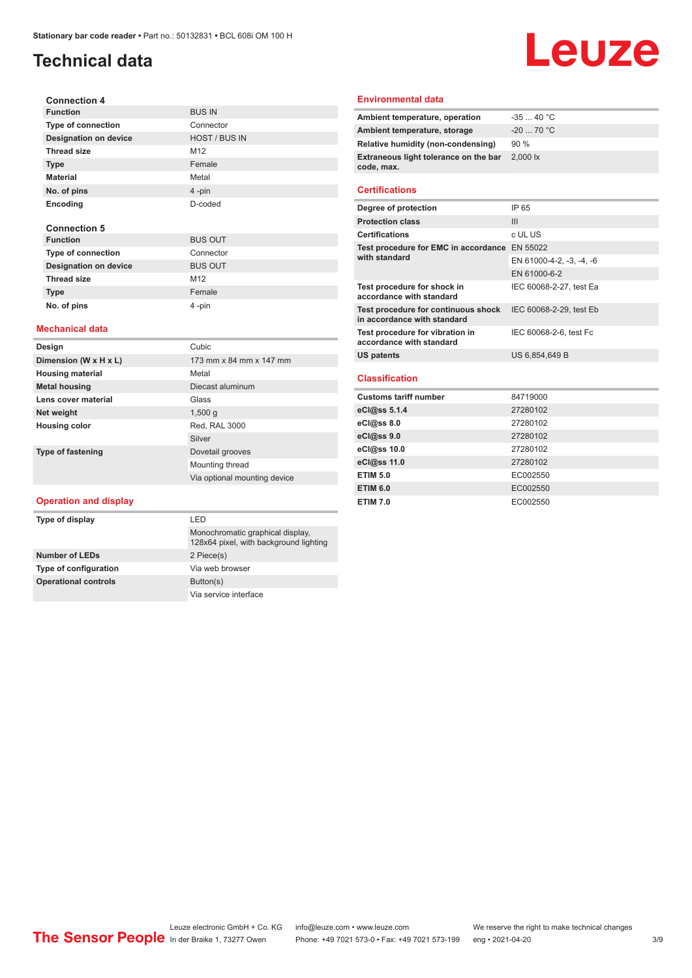## **Technical data**

## Leuze

| <b>Connection 4</b>          |                      |
|------------------------------|----------------------|
| <b>Function</b>              | <b>BUS IN</b>        |
| <b>Type of connection</b>    | Connector            |
| <b>Designation on device</b> | <b>HOST / BUS IN</b> |
| <b>Thread size</b>           | M <sub>12</sub>      |
| <b>Type</b>                  | Female               |
| <b>Material</b>              | Metal                |
| No. of pins                  | $4$ -pin             |
| Encoding                     | D-coded              |
|                              |                      |
| <b>Connection 5</b>          |                      |
| <b>Function</b>              | <b>BUS OUT</b>       |
| <b>Type of connection</b>    | Connector            |
| <b>Designation on device</b> | <b>BUS OUT</b>       |
| <b>Thread size</b>           | M <sub>12</sub>      |

#### **Mechanical data**

**Type Female No. of pins** 4 -pin

| Design                   | Cubic                        |
|--------------------------|------------------------------|
| Dimension (W x H x L)    | 173 mm x 84 mm x 147 mm      |
| <b>Housing material</b>  | Metal                        |
| <b>Metal housing</b>     | Diecast aluminum             |
| Lens cover material      | Glass                        |
| Net weight               | 1,500q                       |
| <b>Housing color</b>     | Red, RAL 3000                |
|                          | Silver                       |
| <b>Type of fastening</b> | Dovetail grooves             |
|                          | Mounting thread              |
|                          | Via optional mounting device |

#### **Operation and display**

| Type of display              | I FD                                                                       |  |
|------------------------------|----------------------------------------------------------------------------|--|
|                              | Monochromatic graphical display,<br>128x64 pixel, with background lighting |  |
| <b>Number of LEDs</b>        | 2 Piece(s)                                                                 |  |
| <b>Type of configuration</b> | Via web browser                                                            |  |
| <b>Operational controls</b>  | Button(s)                                                                  |  |
|                              | Via service interface                                                      |  |

#### **Environmental data**

| Ambient temperature, operation                      | $-3540 °C$                     |
|-----------------------------------------------------|--------------------------------|
| Ambient temperature, storage                        | $-20$ 70 °C                    |
| Relative humidity (non-condensing)                  | 90%                            |
| Extraneous light tolerance on the bar<br>code, max. | $2,000$ $\overline{\text{lx}}$ |
|                                                     |                                |

#### **Certifications**

| Degree of protection                                               | IP 65                    |
|--------------------------------------------------------------------|--------------------------|
| <b>Protection class</b>                                            | Ш                        |
| <b>Certifications</b>                                              | c UL US                  |
| Test procedure for EMC in accordance                               | EN 55022                 |
| with standard                                                      | EN 61000-4-2, -3, -4, -6 |
|                                                                    | EN 61000-6-2             |
| Test procedure for shock in<br>accordance with standard            | IEC 60068-2-27, test Ea  |
| Test procedure for continuous shock<br>in accordance with standard | IEC 60068-2-29, test Eb  |
| Test procedure for vibration in<br>accordance with standard        | IEC 60068-2-6, test Fc   |
| <b>US patents</b>                                                  | US 6,854,649 B           |
| Classification                                                     |                          |

#### **Classification**

| <b>Customs tariff number</b> | 84719000 |
|------------------------------|----------|
| eCl@ss 5.1.4                 | 27280102 |
| $eC/\omega$ ss 8.0           | 27280102 |
| eCl@ss 9.0                   | 27280102 |
| eCl@ss 10.0                  | 27280102 |
| eCl@ss 11.0                  | 27280102 |
| <b>ETIM 5.0</b>              | EC002550 |
| <b>ETIM 6.0</b>              | EC002550 |
| <b>ETIM 7.0</b>              | EC002550 |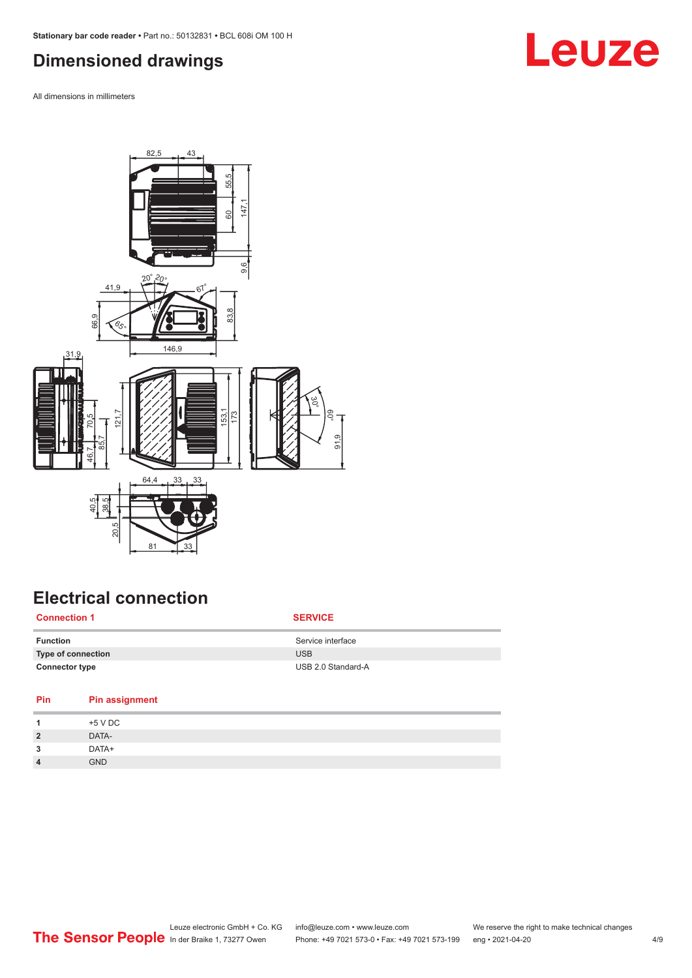## <span id="page-3-0"></span>**Dimensioned drawings**

All dimensions in millimeters



## **Electrical connection**

| <b>Connection 1</b>       | <b>SERVICE</b>     |
|---------------------------|--------------------|
| <b>Function</b>           | Service interface  |
| <b>Type of connection</b> | <b>USB</b>         |
| <b>Connector type</b>     | USB 2.0 Standard-A |

| Pin<br><b>Pin assignment</b> |  |
|------------------------------|--|
| +5 V DC                      |  |
| DATA-<br>$\overline{2}$      |  |
| DATA+<br>3                   |  |
| <b>GND</b><br>$\overline{4}$ |  |

## **Leuze**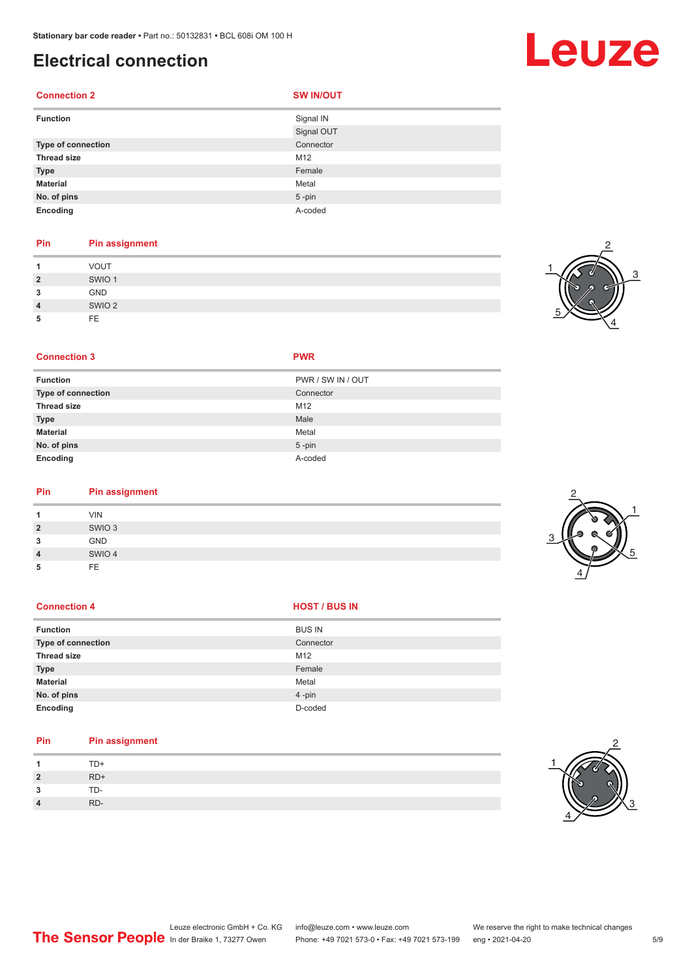## **Electrical connection**

#### **Connection 2 SW IN/OUT**

| <b>Function</b>    | Signal IN  |
|--------------------|------------|
|                    | Signal OUT |
| Type of connection | Connector  |
| <b>Thread size</b> | M12        |
| <b>Type</b>        | Female     |
| <b>Material</b>    | Metal      |
| No. of pins        | $5$ -pin   |
| Encoding           | A-coded    |

### **Pin Pin assignment**

|                | <b>VOUT</b>       |
|----------------|-------------------|
| $\overline{2}$ | SWIO <sub>1</sub> |
| 3              | <b>GND</b>        |
| 4              | SWIO <sub>2</sub> |
| 5              | <b>FE</b>         |

## 3 1 5 4

2

#### **Connection 3 PWR**

| <b>Function</b>           | PWR / SW IN / OUT |
|---------------------------|-------------------|
| <b>Type of connection</b> | Connector         |
| <b>Thread size</b>        | M12               |
| <b>Type</b>               | Male              |
| <b>Material</b>           | Metal             |
| No. of pins               | $5$ -pin          |
| Encoding                  | A-coded           |

#### **Pin Pin assignment**

|                | <b>VIN</b>        |  |
|----------------|-------------------|--|
| $\overline{2}$ | SWIO <sub>3</sub> |  |
| 3              | GND               |  |
| 4              | SWIO 4            |  |
| 5              | FE                |  |

#### **Connection 4 HOST** / BUS IN

| <b>Function</b>    | <b>BUS IN</b> |
|--------------------|---------------|
| Type of connection | Connector     |
| <b>Thread size</b> | M12           |
| <b>Type</b>        | Female        |
| <b>Material</b>    | Metal         |
| No. of pins        | 4-pin         |
| Encoding           | D-coded       |

#### **Pin Pin assignment**

| $\mathbf{1}$   | TD+   |
|----------------|-------|
| $\overline{2}$ | $RD+$ |
| 3              | TD-   |
| $\overline{4}$ | RD-   |





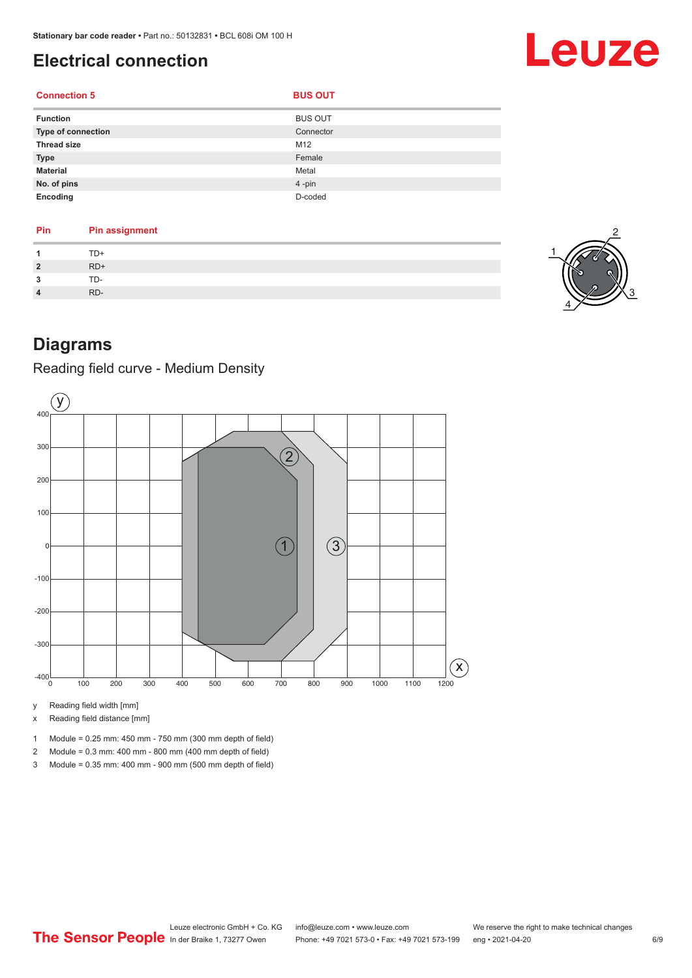**Connection 5 BUS OUT** 

## <span id="page-5-0"></span>**Electrical connection**

### **Function** BUS OUT **Type of connection** Connection Connector Connector **Thread size** M12 **Type** Female **Material** Metal **No. of pins** 4 -pin **Encoding** D-coded

| Pin | <b>Pin assignment</b> |
|-----|-----------------------|
|     | TD+                   |
| 2   | $RD+$                 |
| ∍   | TD-                   |
|     | RD-                   |



Leuze

## **Diagrams**

### Reading field curve - Medium Density



y Reading field width [mm]

x Reading field distance [mm]



2 Module = 0.3 mm: 400 mm - 800 mm (400 mm depth of field)

3 Module = 0.35 mm: 400 mm - 900 mm (500 mm depth of field)



Leuze electronic GmbH + Co. KG info@leuze.com • www.leuze.com We reserve the right to make technical changes<br>
The Sensor People in der Braike 1, 73277 Owen Phone: +49 7021 573-0 • Fax: +49 7021 573-199 eng • 2021-04-20 Phone: +49 7021 573-0 • Fax: +49 7021 573-199 eng • 2021-04-20 6/9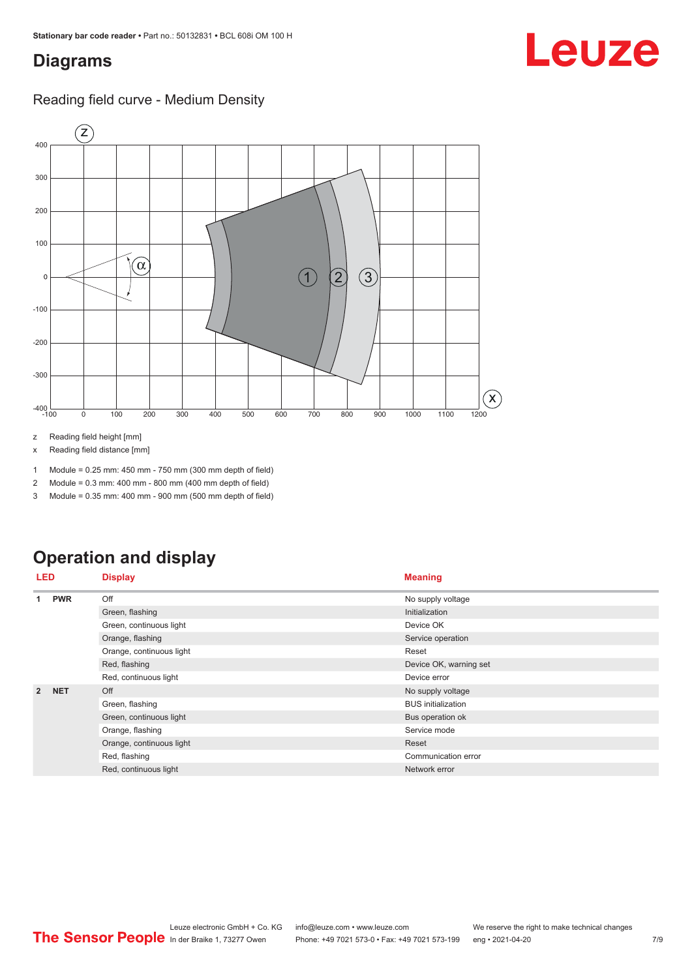## <span id="page-6-0"></span>**Diagrams**

### Reading field curve - Medium Density



z Reading field height [mm]

x Reading field distance [mm]

1 Module = 0.25 mm: 450 mm - 750 mm (300 mm depth of field)

2 Module = 0.3 mm: 400 mm - 800 mm (400 mm depth of field)

3 Module = 0.35 mm: 400 mm - 900 mm (500 mm depth of field)

## **Operation and display**

| LED            |                          | <b>Display</b>           | <b>Meaning</b>            |  |
|----------------|--------------------------|--------------------------|---------------------------|--|
| 1              | <b>PWR</b>               | Off                      | No supply voltage         |  |
|                |                          | Green, flashing          | Initialization            |  |
|                |                          | Green, continuous light  | Device OK                 |  |
|                |                          | Orange, flashing         | Service operation         |  |
|                |                          | Orange, continuous light | Reset                     |  |
|                |                          | Red, flashing            | Device OK, warning set    |  |
|                |                          | Red, continuous light    | Device error              |  |
| $\overline{2}$ | <b>NET</b>               | Off                      | No supply voltage         |  |
|                |                          | Green, flashing          | <b>BUS</b> initialization |  |
|                |                          | Green, continuous light  | Bus operation ok          |  |
|                | Orange, flashing         | Service mode             |                           |  |
|                | Orange, continuous light | Reset                    |                           |  |
|                |                          | Red, flashing            | Communication error       |  |
|                |                          | Red, continuous light    | Network error             |  |

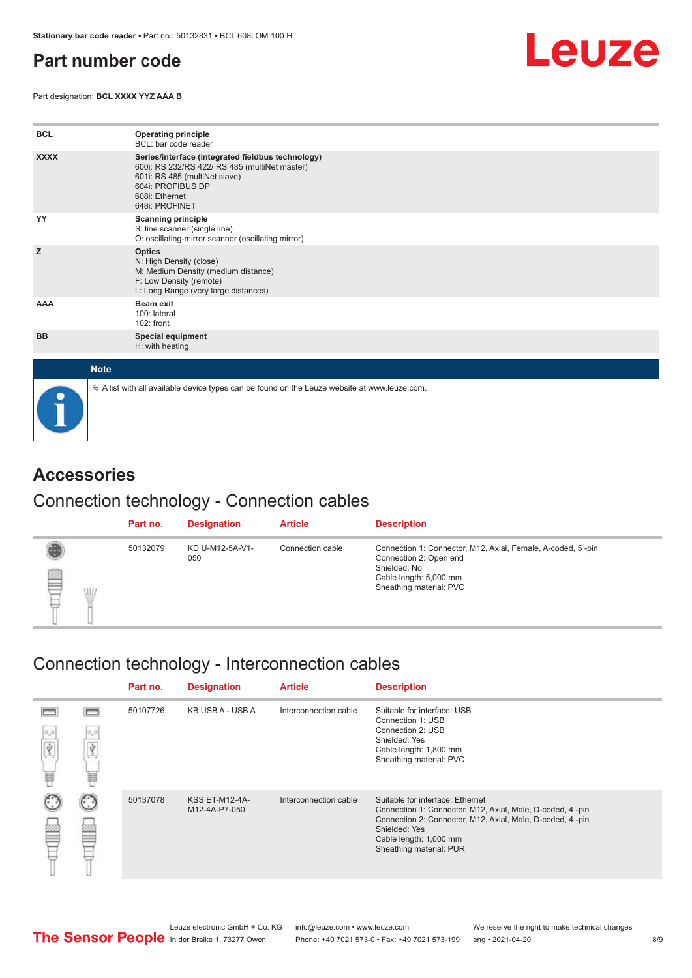## <span id="page-7-0"></span>**Part number code**

Part designation: **BCL XXXX YYZ AAA B**



| <b>BCL</b>  | <b>Operating principle</b><br>BCL: bar code reader                                                                                                                                           |
|-------------|----------------------------------------------------------------------------------------------------------------------------------------------------------------------------------------------|
| <b>XXXX</b> | Series/interface (integrated fieldbus technology)<br>600i: RS 232/RS 422/ RS 485 (multiNet master)<br>601i: RS 485 (multiNet slave)<br>604i: PROFIBUS DP<br>608i: Ethernet<br>648i: PROFINET |
| YY          | <b>Scanning principle</b><br>S: line scanner (single line)<br>O: oscillating-mirror scanner (oscillating mirror)                                                                             |
| z           | <b>Optics</b><br>N: High Density (close)<br>M: Medium Density (medium distance)<br>F: Low Density (remote)<br>L: Long Range (very large distances)                                           |
| AAA         | <b>Beam exit</b><br>100: lateral<br>102: front                                                                                                                                               |
| <b>BB</b>   | <b>Special equipment</b><br>H: with heating                                                                                                                                                  |
| <b>Note</b> |                                                                                                                                                                                              |
|             | $\&$ A list with all available device types can be found on the Leuze website at www.leuze.com.                                                                                              |

## **Accessories**

### Connection technology - Connection cables

|                      | Part no. | <b>Designation</b>     | <b>Article</b>   | <b>Description</b>                                                                                                                                         |
|----------------------|----------|------------------------|------------------|------------------------------------------------------------------------------------------------------------------------------------------------------------|
| §<br><b>ALL</b><br>₽ | 50132079 | KD U-M12-5A-V1-<br>050 | Connection cable | Connection 1: Connector, M12, Axial, Female, A-coded, 5-pin<br>Connection 2: Open end<br>Shielded: No<br>Cable length: 5,000 mm<br>Sheathing material: PVC |

## Connection technology - Interconnection cables

|            |               | Part no. | <b>Designation</b>                     | <b>Article</b>        | <b>Description</b>                                                                                                                                                                                                               |
|------------|---------------|----------|----------------------------------------|-----------------------|----------------------------------------------------------------------------------------------------------------------------------------------------------------------------------------------------------------------------------|
| $D_0$<br>H | $\circ \circ$ | 50107726 | KB USB A - USB A                       | Interconnection cable | Suitable for interface: USB<br>Connection 1: USB<br>Connection 2: USB<br>Shielded: Yes<br>Cable length: 1,800 mm<br>Sheathing material: PVC                                                                                      |
|            |               | 50137078 | <b>KSS ET-M12-4A-</b><br>M12-4A-P7-050 | Interconnection cable | Suitable for interface: Ethernet<br>Connection 1: Connector, M12, Axial, Male, D-coded, 4-pin<br>Connection 2: Connector, M12, Axial, Male, D-coded, 4-pin<br>Shielded: Yes<br>Cable length: 1,000 mm<br>Sheathing material: PUR |